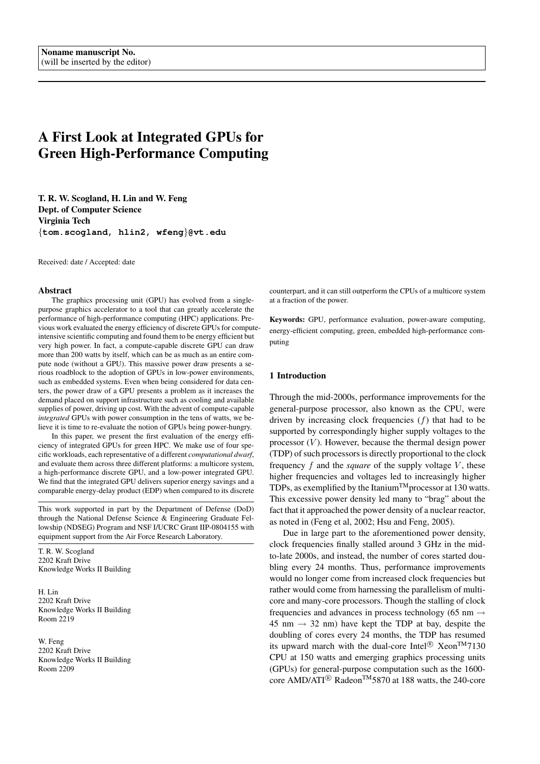# A First Look at Integrated GPUs for Green High-Performance Computing

T. R. W. Scogland, H. Lin and W. Feng Dept. of Computer Science Virginia Tech {**tom.scogland, hlin2, wfeng**}**@vt.edu**

Received: date / Accepted: date

#### Abstract

The graphics processing unit (GPU) has evolved from a singlepurpose graphics accelerator to a tool that can greatly accelerate the performance of high-performance computing (HPC) applications. Previous work evaluated the energy efficiency of discrete GPUs for computeintensive scientific computing and found them to be energy efficient but very high power. In fact, a compute-capable discrete GPU can draw more than 200 watts by itself, which can be as much as an entire compute node (without a GPU). This massive power draw presents a serious roadblock to the adoption of GPUs in low-power environments, such as embedded systems. Even when being considered for data centers, the power draw of a GPU presents a problem as it increases the demand placed on support infrastructure such as cooling and available supplies of power, driving up cost. With the advent of compute-capable *integrated* GPUs with power consumption in the tens of watts, we believe it is time to re-evaluate the notion of GPUs being power-hungry.

In this paper, we present the first evaluation of the energy efficiency of integrated GPUs for green HPC. We make use of four specific workloads, each representative of a different *computational dwarf*, and evaluate them across three different platforms: a multicore system, a high-performance discrete GPU, and a low-power integrated GPU. We find that the integrated GPU delivers superior energy savings and a comparable energy-delay product (EDP) when compared to its discrete

This work supported in part by the Department of Defense (DoD) through the National Defense Science & Engineering Graduate Fellowship (NDSEG) Program and NSF I/UCRC Grant IIP-0804155 with equipment support from the Air Force Research Laboratory.

T. R. W. Scogland 2202 Kraft Drive Knowledge Works II Building

H. Lin 2202 Kraft Drive Knowledge Works II Building Room 2219

W. Feng 2202 Kraft Drive Knowledge Works II Building Room 2209

counterpart, and it can still outperform the CPUs of a multicore system at a fraction of the power.

Keywords: GPU, performance evaluation, power-aware computing, energy-efficient computing, green, embedded high-performance computing

## 1 Introduction

Through the mid-2000s, performance improvements for the general-purpose processor, also known as the CPU, were driven by increasing clock frequencies  $(f)$  that had to be supported by correspondingly higher supply voltages to the processor  $(V)$ . However, because the thermal design power (TDP) of such processors is directly proportional to the clock frequency  $f$  and the *square* of the supply voltage  $V$ , these higher frequencies and voltages led to increasingly higher TDPs, as exemplified by the Itanium<sup>TM</sup> processor at 130 watts. This excessive power density led many to "brag" about the fact that it approached the power density of a nuclear reactor, as noted in (Feng et al, 2002; Hsu and Feng, 2005).

Due in large part to the aforementioned power density, clock frequencies finally stalled around 3 GHz in the midto-late 2000s, and instead, the number of cores started doubling every 24 months. Thus, performance improvements would no longer come from increased clock frequencies but rather would come from harnessing the parallelism of multicore and many-core processors. Though the stalling of clock frequencies and advances in process technology (65 nm  $\rightarrow$ 45 nm  $\rightarrow$  32 nm) have kept the TDP at bay, despite the doubling of cores every 24 months, the TDP has resumed its upward march with the dual-core Intel®  $Xeon^{TM}7130$ CPU at 150 watts and emerging graphics processing units (GPUs) for general-purpose computation such as the 1600 core AMD/ATI<sup>®</sup> Radeon<sup>TM</sup>5870 at 188 watts, the 240-core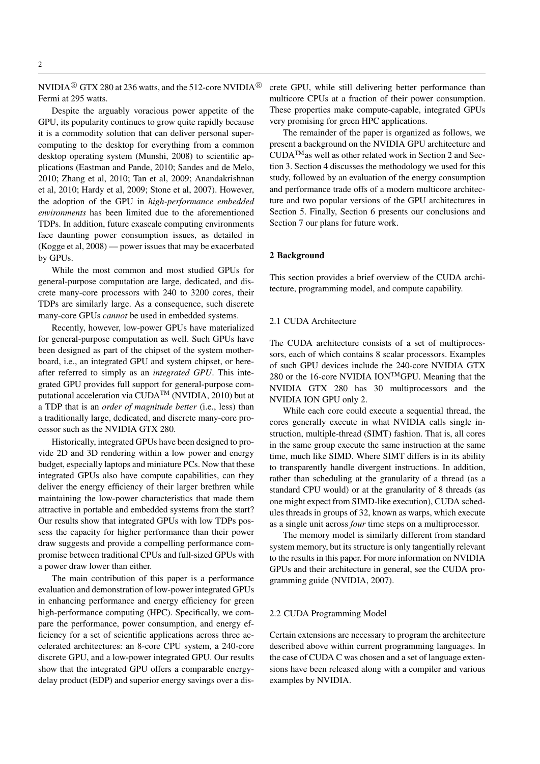NVIDIA<sup>®</sup> GTX 280 at 236 watts, and the 512-core NVIDIA<sup>®</sup> Fermi at 295 watts.

Despite the arguably voracious power appetite of the GPU, its popularity continues to grow quite rapidly because it is a commodity solution that can deliver personal supercomputing to the desktop for everything from a common desktop operating system (Munshi, 2008) to scientific applications (Eastman and Pande, 2010; Sandes and de Melo, 2010; Zhang et al, 2010; Tan et al, 2009; Anandakrishnan et al, 2010; Hardy et al, 2009; Stone et al, 2007). However, the adoption of the GPU in *high-performance embedded environments* has been limited due to the aforementioned TDPs. In addition, future exascale computing environments face daunting power consumption issues, as detailed in (Kogge et al, 2008) — power issues that may be exacerbated by GPUs.

While the most common and most studied GPUs for general-purpose computation are large, dedicated, and discrete many-core processors with 240 to 3200 cores, their TDPs are similarly large. As a consequence, such discrete many-core GPUs *cannot* be used in embedded systems.

Recently, however, low-power GPUs have materialized for general-purpose computation as well. Such GPUs have been designed as part of the chipset of the system motherboard, i.e., an integrated GPU and system chipset, or hereafter referred to simply as an *integrated GPU*. This integrated GPU provides full support for general-purpose computational acceleration via CUDATM (NVIDIA, 2010) but at a TDP that is an *order of magnitude better* (i.e., less) than a traditionally large, dedicated, and discrete many-core processor such as the NVIDIA GTX 280.

Historically, integrated GPUs have been designed to provide 2D and 3D rendering within a low power and energy budget, especially laptops and miniature PCs. Now that these integrated GPUs also have compute capabilities, can they deliver the energy efficiency of their larger brethren while maintaining the low-power characteristics that made them attractive in portable and embedded systems from the start? Our results show that integrated GPUs with low TDPs possess the capacity for higher performance than their power draw suggests and provide a compelling performance compromise between traditional CPUs and full-sized GPUs with a power draw lower than either.

The main contribution of this paper is a performance evaluation and demonstration of low-power integrated GPUs in enhancing performance and energy efficiency for green high-performance computing (HPC). Specifically, we compare the performance, power consumption, and energy efficiency for a set of scientific applications across three accelerated architectures: an 8-core CPU system, a 240-core discrete GPU, and a low-power integrated GPU. Our results show that the integrated GPU offers a comparable energydelay product (EDP) and superior energy savings over a discrete GPU, while still delivering better performance than multicore CPUs at a fraction of their power consumption. These properties make compute-capable, integrated GPUs very promising for green HPC applications.

The remainder of the paper is organized as follows, we present a background on the NVIDIA GPU architecture and  $\text{CUDA}^{\text{TM}}$  as well as other related work in Section 2 and Section 3. Section 4 discusses the methodology we used for this study, followed by an evaluation of the energy consumption and performance trade offs of a modern multicore architecture and two popular versions of the GPU architectures in Section 5. Finally, Section 6 presents our conclusions and Section 7 our plans for future work.

# 2 Background

This section provides a brief overview of the CUDA architecture, programming model, and compute capability.

# 2.1 CUDA Architecture

The CUDA architecture consists of a set of multiprocessors, each of which contains 8 scalar processors. Examples of such GPU devices include the 240-core NVIDIA GTX 280 or the 16-core NVIDIA ION<sup>TM</sup>GPU. Meaning that the NVIDIA GTX 280 has 30 multiprocessors and the NVIDIA ION GPU only 2.

While each core could execute a sequential thread, the cores generally execute in what NVIDIA calls single instruction, multiple-thread (SIMT) fashion. That is, all cores in the same group execute the same instruction at the same time, much like SIMD. Where SIMT differs is in its ability to transparently handle divergent instructions. In addition, rather than scheduling at the granularity of a thread (as a standard CPU would) or at the granularity of 8 threads (as one might expect from SIMD-like execution), CUDA schedules threads in groups of 32, known as warps, which execute as a single unit across *four* time steps on a multiprocessor.

The memory model is similarly different from standard system memory, but its structure is only tangentially relevant to the results in this paper. For more information on NVIDIA GPUs and their architecture in general, see the CUDA programming guide (NVIDIA, 2007).

# 2.2 CUDA Programming Model

Certain extensions are necessary to program the architecture described above within current programming languages. In the case of CUDA C was chosen and a set of language extensions have been released along with a compiler and various examples by NVIDIA.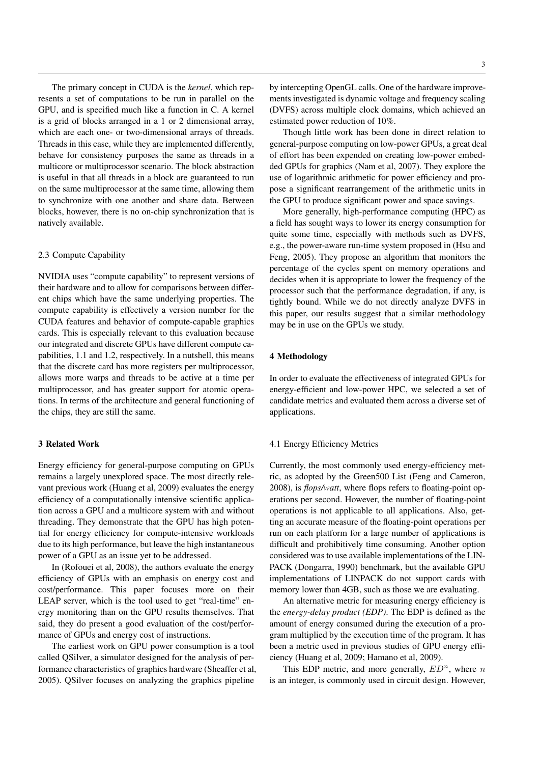The primary concept in CUDA is the *kernel*, which represents a set of computations to be run in parallel on the GPU, and is specified much like a function in C. A kernel is a grid of blocks arranged in a 1 or 2 dimensional array, which are each one- or two-dimensional arrays of threads. Threads in this case, while they are implemented differently, behave for consistency purposes the same as threads in a multicore or multiprocessor scenario. The block abstraction is useful in that all threads in a block are guaranteed to run on the same multiprocessor at the same time, allowing them to synchronize with one another and share data. Between blocks, however, there is no on-chip synchronization that is natively available.

#### 2.3 Compute Capability

NVIDIA uses "compute capability" to represent versions of their hardware and to allow for comparisons between different chips which have the same underlying properties. The compute capability is effectively a version number for the CUDA features and behavior of compute-capable graphics cards. This is especially relevant to this evaluation because our integrated and discrete GPUs have different compute capabilities, 1.1 and 1.2, respectively. In a nutshell, this means that the discrete card has more registers per multiprocessor, allows more warps and threads to be active at a time per multiprocessor, and has greater support for atomic operations. In terms of the architecture and general functioning of the chips, they are still the same.

# 3 Related Work

Energy efficiency for general-purpose computing on GPUs remains a largely unexplored space. The most directly relevant previous work (Huang et al, 2009) evaluates the energy efficiency of a computationally intensive scientific application across a GPU and a multicore system with and without threading. They demonstrate that the GPU has high potential for energy efficiency for compute-intensive workloads due to its high performance, but leave the high instantaneous power of a GPU as an issue yet to be addressed.

In (Rofouei et al, 2008), the authors evaluate the energy efficiency of GPUs with an emphasis on energy cost and cost/performance. This paper focuses more on their LEAP server, which is the tool used to get "real-time" energy monitoring than on the GPU results themselves. That said, they do present a good evaluation of the cost/performance of GPUs and energy cost of instructions.

The earliest work on GPU power consumption is a tool called QSilver, a simulator designed for the analysis of performance characteristics of graphics hardware (Sheaffer et al, 2005). QSilver focuses on analyzing the graphics pipeline

by intercepting OpenGL calls. One of the hardware improvements investigated is dynamic voltage and frequency scaling (DVFS) across multiple clock domains, which achieved an estimated power reduction of 10%.

Though little work has been done in direct relation to general-purpose computing on low-power GPUs, a great deal of effort has been expended on creating low-power embedded GPUs for graphics (Nam et al, 2007). They explore the use of logarithmic arithmetic for power efficiency and propose a significant rearrangement of the arithmetic units in the GPU to produce significant power and space savings.

More generally, high-performance computing (HPC) as a field has sought ways to lower its energy consumption for quite some time, especially with methods such as DVFS, e.g., the power-aware run-time system proposed in (Hsu and Feng, 2005). They propose an algorithm that monitors the percentage of the cycles spent on memory operations and decides when it is appropriate to lower the frequency of the processor such that the performance degradation, if any, is tightly bound. While we do not directly analyze DVFS in this paper, our results suggest that a similar methodology may be in use on the GPUs we study.

#### 4 Methodology

In order to evaluate the effectiveness of integrated GPUs for energy-efficient and low-power HPC, we selected a set of candidate metrics and evaluated them across a diverse set of applications.

## 4.1 Energy Efficiency Metrics

Currently, the most commonly used energy-efficiency metric, as adopted by the Green500 List (Feng and Cameron, 2008), is *flops/watt*, where flops refers to floating-point operations per second. However, the number of floating-point operations is not applicable to all applications. Also, getting an accurate measure of the floating-point operations per run on each platform for a large number of applications is difficult and prohibitively time consuming. Another option considered was to use available implementations of the LIN-PACK (Dongarra, 1990) benchmark, but the available GPU implementations of LINPACK do not support cards with memory lower than 4GB, such as those we are evaluating.

An alternative metric for measuring energy efficiency is the *energy-delay product (EDP)*. The EDP is defined as the amount of energy consumed during the execution of a program multiplied by the execution time of the program. It has been a metric used in previous studies of GPU energy efficiency (Huang et al, 2009; Hamano et al, 2009).

This EDP metric, and more generally,  $ED<sup>n</sup>$ , where n is an integer, is commonly used in circuit design. However,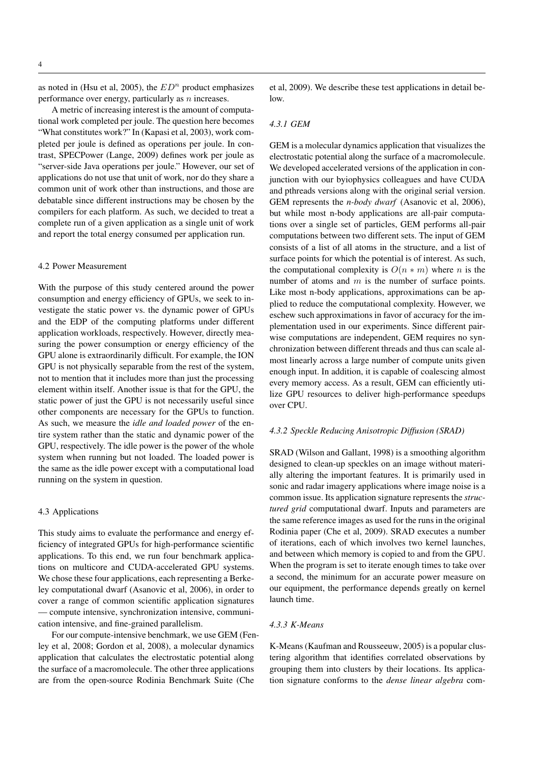as noted in (Hsu et al, 2005), the  $ED<sup>n</sup>$  product emphasizes performance over energy, particularly as n increases.

A metric of increasing interest is the amount of computational work completed per joule. The question here becomes "What constitutes work?" In (Kapasi et al, 2003), work completed per joule is defined as operations per joule. In contrast, SPECPower (Lange, 2009) defines work per joule as "server-side Java operations per joule." However, our set of applications do not use that unit of work, nor do they share a common unit of work other than instructions, and those are debatable since different instructions may be chosen by the compilers for each platform. As such, we decided to treat a complete run of a given application as a single unit of work and report the total energy consumed per application run.

#### 4.2 Power Measurement

With the purpose of this study centered around the power consumption and energy efficiency of GPUs, we seek to investigate the static power vs. the dynamic power of GPUs and the EDP of the computing platforms under different application workloads, respectively. However, directly measuring the power consumption or energy efficiency of the GPU alone is extraordinarily difficult. For example, the ION GPU is not physically separable from the rest of the system, not to mention that it includes more than just the processing element within itself. Another issue is that for the GPU, the static power of just the GPU is not necessarily useful since other components are necessary for the GPUs to function. As such, we measure the *idle and loaded power* of the entire system rather than the static and dynamic power of the GPU, respectively. The idle power is the power of the whole system when running but not loaded. The loaded power is the same as the idle power except with a computational load running on the system in question.

# 4.3 Applications

This study aims to evaluate the performance and energy efficiency of integrated GPUs for high-performance scientific applications. To this end, we run four benchmark applications on multicore and CUDA-accelerated GPU systems. We chose these four applications, each representing a Berkeley computational dwarf (Asanovic et al, 2006), in order to cover a range of common scientific application signatures — compute intensive, synchronization intensive, communication intensive, and fine-grained parallelism.

For our compute-intensive benchmark, we use GEM (Fenley et al, 2008; Gordon et al, 2008), a molecular dynamics application that calculates the electrostatic potential along the surface of a macromolecule. The other three applications are from the open-source Rodinia Benchmark Suite (Che

et al, 2009). We describe these test applications in detail below.

#### *4.3.1 GEM*

GEM is a molecular dynamics application that visualizes the electrostatic potential along the surface of a macromolecule. We developed accelerated versions of the application in conjunction with our byiophysics colleagues and have CUDA and pthreads versions along with the original serial version. GEM represents the *n-body dwarf* (Asanovic et al, 2006), but while most n-body applications are all-pair computations over a single set of particles, GEM performs all-pair computations between two different sets. The input of GEM consists of a list of all atoms in the structure, and a list of surface points for which the potential is of interest. As such, the computational complexity is  $O(n * m)$  where n is the number of atoms and  $m$  is the number of surface points. Like most n-body applications, approximations can be applied to reduce the computational complexity. However, we eschew such approximations in favor of accuracy for the implementation used in our experiments. Since different pairwise computations are independent, GEM requires no synchronization between different threads and thus can scale almost linearly across a large number of compute units given enough input. In addition, it is capable of coalescing almost every memory access. As a result, GEM can efficiently utilize GPU resources to deliver high-performance speedups over CPU.

# *4.3.2 Speckle Reducing Anisotropic Diffusion (SRAD)*

SRAD (Wilson and Gallant, 1998) is a smoothing algorithm designed to clean-up speckles on an image without materially altering the important features. It is primarily used in sonic and radar imagery applications where image noise is a common issue. Its application signature represents the *structured grid* computational dwarf. Inputs and parameters are the same reference images as used for the runs in the original Rodinia paper (Che et al, 2009). SRAD executes a number of iterations, each of which involves two kernel launches, and between which memory is copied to and from the GPU. When the program is set to iterate enough times to take over a second, the minimum for an accurate power measure on our equipment, the performance depends greatly on kernel launch time.

# *4.3.3 K-Means*

K-Means (Kaufman and Rousseeuw, 2005) is a popular clustering algorithm that identifies correlated observations by grouping them into clusters by their locations. Its application signature conforms to the *dense linear algebra* com-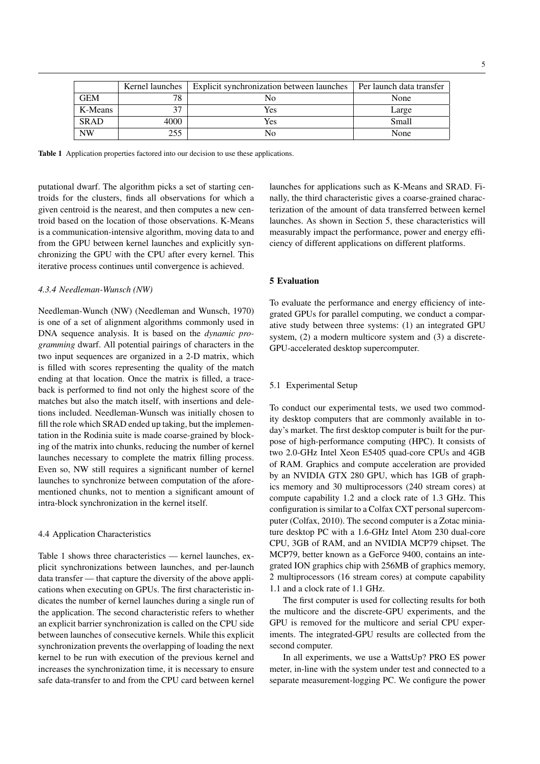|             | Kernel launches | Explicit synchronization between launches | Per launch data transfer |
|-------------|-----------------|-------------------------------------------|--------------------------|
| GEM         | 78              | $\overline{N}_{0}$                        | None                     |
| K-Means     | 37              | Yes                                       | Large                    |
| <b>SRAD</b> | 4000            | Yes                                       | Small                    |
| NW          | 255             | Nο                                        | None                     |

Table 1 Application properties factored into our decision to use these applications.

putational dwarf. The algorithm picks a set of starting centroids for the clusters, finds all observations for which a given centroid is the nearest, and then computes a new centroid based on the location of those observations. K-Means is a communication-intensive algorithm, moving data to and from the GPU between kernel launches and explicitly synchronizing the GPU with the CPU after every kernel. This iterative process continues until convergence is achieved.

#### *4.3.4 Needleman-Wunsch (NW)*

Needleman-Wunch (NW) (Needleman and Wunsch, 1970) is one of a set of alignment algorithms commonly used in DNA sequence analysis. It is based on the *dynamic programming* dwarf. All potential pairings of characters in the two input sequences are organized in a 2-D matrix, which is filled with scores representing the quality of the match ending at that location. Once the matrix is filled, a traceback is performed to find not only the highest score of the matches but also the match itself, with insertions and deletions included. Needleman-Wunsch was initially chosen to fill the role which SRAD ended up taking, but the implementation in the Rodinia suite is made coarse-grained by blocking of the matrix into chunks, reducing the number of kernel launches necessary to complete the matrix filling process. Even so, NW still requires a significant number of kernel launches to synchronize between computation of the aforementioned chunks, not to mention a significant amount of intra-block synchronization in the kernel itself.

## 4.4 Application Characteristics

Table 1 shows three characteristics — kernel launches, explicit synchronizations between launches, and per-launch data transfer — that capture the diversity of the above applications when executing on GPUs. The first characteristic indicates the number of kernel launches during a single run of the application. The second characteristic refers to whether an explicit barrier synchronization is called on the CPU side between launches of consecutive kernels. While this explicit synchronization prevents the overlapping of loading the next kernel to be run with execution of the previous kernel and increases the synchronization time, it is necessary to ensure safe data-transfer to and from the CPU card between kernel

launches for applications such as K-Means and SRAD. Finally, the third characteristic gives a coarse-grained characterization of the amount of data transferred between kernel launches. As shown in Section 5, these characteristics will measurably impact the performance, power and energy efficiency of different applications on different platforms.

# 5 Evaluation

To evaluate the performance and energy efficiency of integrated GPUs for parallel computing, we conduct a comparative study between three systems: (1) an integrated GPU system, (2) a modern multicore system and (3) a discrete-GPU-accelerated desktop supercomputer.

# 5.1 Experimental Setup

To conduct our experimental tests, we used two commodity desktop computers that are commonly available in today's market. The first desktop computer is built for the purpose of high-performance computing (HPC). It consists of two 2.0-GHz Intel Xeon E5405 quad-core CPUs and 4GB of RAM. Graphics and compute acceleration are provided by an NVIDIA GTX 280 GPU, which has 1GB of graphics memory and 30 multiprocessors (240 stream cores) at compute capability 1.2 and a clock rate of 1.3 GHz. This configuration is similar to a Colfax CXT personal supercomputer (Colfax, 2010). The second computer is a Zotac miniature desktop PC with a 1.6-GHz Intel Atom 230 dual-core CPU, 3GB of RAM, and an NVIDIA MCP79 chipset. The MCP79, better known as a GeForce 9400, contains an integrated ION graphics chip with 256MB of graphics memory, 2 multiprocessors (16 stream cores) at compute capability 1.1 and a clock rate of 1.1 GHz.

The first computer is used for collecting results for both the multicore and the discrete-GPU experiments, and the GPU is removed for the multicore and serial CPU experiments. The integrated-GPU results are collected from the second computer.

In all experiments, we use a WattsUp? PRO ES power meter, in-line with the system under test and connected to a separate measurement-logging PC. We configure the power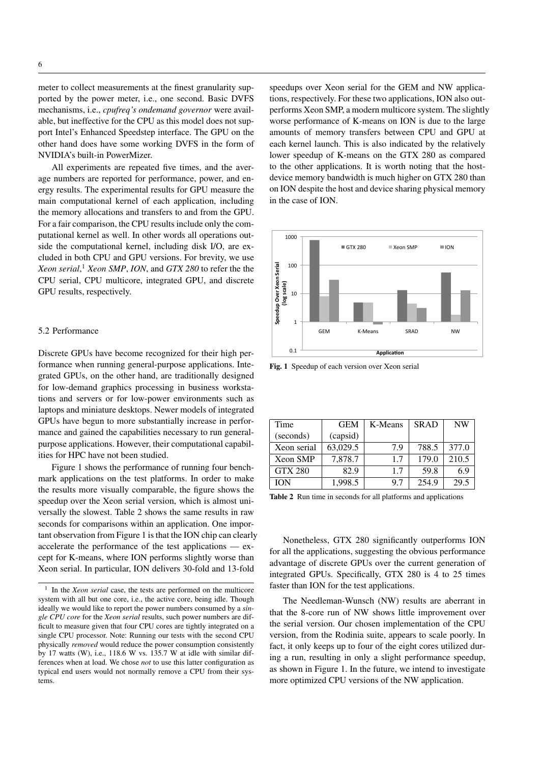meter to collect measurements at the finest granularity supported by the power meter, i.e., one second. Basic DVFS mechanisms, i.e., *cpufreq's ondemand governor* were available, but ineffective for the CPU as this model does not support Intel's Enhanced Speedstep interface. The GPU on the other hand does have some working DVFS in the form of NVIDIA's built-in PowerMizer.

All experiments are repeated five times, and the average numbers are reported for performance, power, and energy results. The experimental results for GPU measure the main computational kernel of each application, including the memory allocations and transfers to and from the GPU. For a fair comparison, the CPU results include only the computational kernel as well. In other words all operations outside the computational kernel, including disk I/O, are excluded in both CPU and GPU versions. For brevity, we use *Xeon serial*, <sup>1</sup> *Xeon SMP*, *ION*, and *GTX 280* to refer the the CPU serial, CPU multicore, integrated GPU, and discrete GPU results, respectively.

## 5.2 Performance

Discrete GPUs have become recognized for their high performance when running general-purpose applications. Integrated GPUs, on the other hand, are traditionally designed for low-demand graphics processing in business workstations and servers or for low-power environments such as laptops and miniature desktops. Newer models of integrated GPUs have begun to more substantially increase in performance and gained the capabilities necessary to run generalpurpose applications. However, their computational capabilities for HPC have not been studied.

Figure 1 shows the performance of running four benchmark applications on the test platforms. In order to make the results more visually comparable, the figure shows the speedup over the Xeon serial version, which is almost universally the slowest. Table 2 shows the same results in raw seconds for comparisons within an application. One important observation from Figure 1 is that the ION chip can clearly accelerate the performance of the test applications — except for K-means, where ION performs slightly worse than Xeon serial. In particular, ION delivers 30-fold and 13-fold

speedups over Xeon serial for the GEM and NW applications, respectively. For these two applications, ION also outperforms Xeon SMP, a modern multicore system. The slightly worse performance of K-means on ION is due to the large amounts of memory transfers between CPU and GPU at each kernel launch. This is also indicated by the relatively lower speedup of K-means on the GTX 280 as compared to the other applications. It is worth noting that the hostdevice memory bandwidth is much higher on GTX 280 than on ION despite the host and device sharing physical memory in the case of ION.



Fig. 1 Speedup of each version over Xeon serial

| Time            | <b>GEM</b> | K-Means | <b>SRAD</b> | <b>NW</b> |
|-----------------|------------|---------|-------------|-----------|
| (seconds)       | (capsid)   |         |             |           |
| Xeon serial     | 63,029.5   | 7.9     | 788.5       | 377.0     |
| <b>Xeon SMP</b> | 7,878.7    | 1.7     | 179.0       | 210.5     |
| <b>GTX 280</b>  | 82.9       | 17      | 59.8        | 6.9       |
| ЮN              | 1,998.5    | 9.7     | 254.9       | 29.5      |

Table 2 Run time in seconds for all platforms and applications

Nonetheless, GTX 280 significantly outperforms ION for all the applications, suggesting the obvious performance advantage of discrete GPUs over the current generation of integrated GPUs. Specifically, GTX 280 is 4 to 25 times faster than ION for the test applications.

The Needleman-Wunsch (NW) results are aberrant in that the 8-core run of NW shows little improvement over the serial version. Our chosen implementation of the CPU version, from the Rodinia suite, appears to scale poorly. In fact, it only keeps up to four of the eight cores utilized during a run, resulting in only a slight performance speedup, as shown in Figure 1. In the future, we intend to investigate more optimized CPU versions of the NW application.

<sup>1</sup> In the *Xeon serial* case, the tests are performed on the multicore system with all but one core, i.e., the active core, being idle. Though ideally we would like to report the power numbers consumed by a *single CPU core* for the *Xeon serial* results, such power numbers are difficult to measure given that four CPU cores are tightly integrated on a single CPU processor. Note: Running our tests with the second CPU physically *removed* would reduce the power consumption consistently by 17 watts (W), i.e., 118.6 W vs. 135.7 W at idle with similar differences when at load. We chose *not* to use this latter configuration as typical end users would not normally remove a CPU from their systems.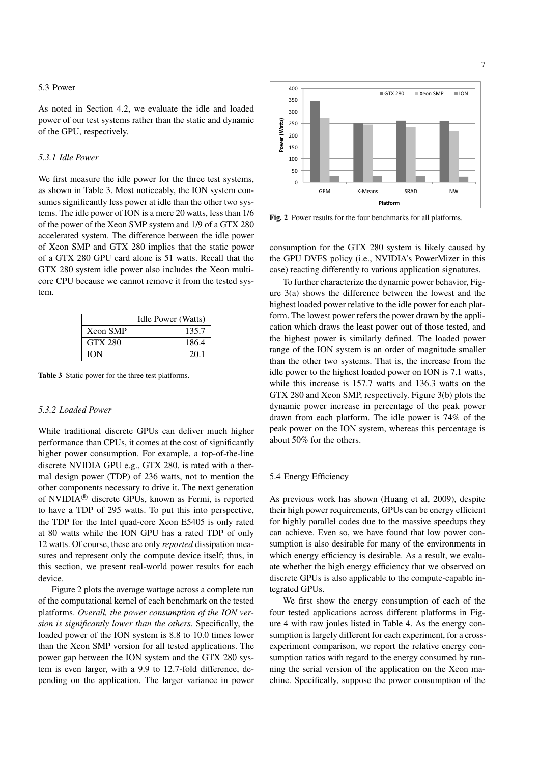# 5.3 Power

As noted in Section 4.2, we evaluate the idle and loaded power of our test systems rather than the static and dynamic of the GPU, respectively.

# *5.3.1 Idle Power*

We first measure the idle power for the three test systems, as shown in Table 3. Most noticeably, the ION system consumes significantly less power at idle than the other two systems. The idle power of ION is a mere 20 watts, less than 1/6 of the power of the Xeon SMP system and 1/9 of a GTX 280 accelerated system. The difference between the idle power of Xeon SMP and GTX 280 implies that the static power of a GTX 280 GPU card alone is 51 watts. Recall that the GTX 280 system idle power also includes the Xeon multicore CPU because we cannot remove it from the tested system.

|                 | Idle Power (Watts) |
|-----------------|--------------------|
| <b>Xeon SMP</b> | 135.7              |
| <b>GTX 280</b>  | 186.4              |
| <b>ION</b>      | 20.1               |

Table 3 Static power for the three test platforms.

#### *5.3.2 Loaded Power*

While traditional discrete GPUs can deliver much higher performance than CPUs, it comes at the cost of significantly higher power consumption. For example, a top-of-the-line discrete NVIDIA GPU e.g., GTX 280, is rated with a thermal design power (TDP) of 236 watts, not to mention the other components necessary to drive it. The next generation of NVIDIA<sup>®</sup> discrete GPUs, known as Fermi, is reported to have a TDP of 295 watts. To put this into perspective, the TDP for the Intel quad-core Xeon E5405 is only rated at 80 watts while the ION GPU has a rated TDP of only 12 watts. Of course, these are only *reported* dissipation measures and represent only the compute device itself; thus, in this section, we present real-world power results for each device.

Figure 2 plots the average wattage across a complete run of the computational kernel of each benchmark on the tested platforms. *Overall, the power consumption of the ION version is significantly lower than the others.* Specifically, the loaded power of the ION system is 8.8 to 10.0 times lower than the Xeon SMP version for all tested applications. The power gap between the ION system and the GTX 280 system is even larger, with a 9.9 to 12.7-fold difference, depending on the application. The larger variance in power



Fig. 2 Power results for the four benchmarks for all platforms.

consumption for the GTX 280 system is likely caused by the GPU DVFS policy (i.e., NVIDIA's PowerMizer in this case) reacting differently to various application signatures.

To further characterize the dynamic power behavior, Figure 3(a) shows the difference between the lowest and the highest loaded power relative to the idle power for each platform. The lowest power refers the power drawn by the application which draws the least power out of those tested, and the highest power is similarly defined. The loaded power range of the ION system is an order of magnitude smaller than the other two systems. That is, the increase from the idle power to the highest loaded power on ION is 7.1 watts, while this increase is 157.7 watts and 136.3 watts on the GTX 280 and Xeon SMP, respectively. Figure 3(b) plots the dynamic power increase in percentage of the peak power drawn from each platform. The idle power is 74% of the peak power on the ION system, whereas this percentage is about 50% for the others.

# 5.4 Energy Efficiency

As previous work has shown (Huang et al, 2009), despite their high power requirements, GPUs can be energy efficient for highly parallel codes due to the massive speedups they can achieve. Even so, we have found that low power consumption is also desirable for many of the environments in which energy efficiency is desirable. As a result, we evaluate whether the high energy efficiency that we observed on discrete GPUs is also applicable to the compute-capable integrated GPUs.

We first show the energy consumption of each of the four tested applications across different platforms in Figure 4 with raw joules listed in Table 4. As the energy consumption is largely different for each experiment, for a crossexperiment comparison, we report the relative energy consumption ratios with regard to the energy consumed by running the serial version of the application on the Xeon machine. Specifically, suppose the power consumption of the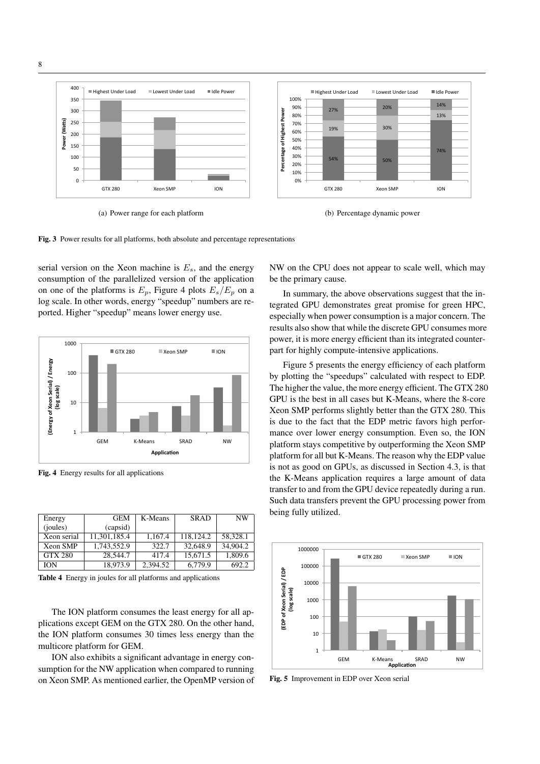

(a) Power range for each platform





serial version on the Xeon machine is  $E_s$ , and the energy consumption of the parallelized version of the application on one of the platforms is  $E_p$ , Figure 4 plots  $E_s/E_p$  on a log scale. In other words, energy "speedup" numbers are reported. Higher "speedup" means lower energy use.



Fig. 4 Energy results for all applications

| Energy         | <b>GEM</b>   | K-Means  | <b>SRAD</b> | NW       |
|----------------|--------------|----------|-------------|----------|
| (joules)       | (capsid)     |          |             |          |
| Xeon serial    | 11,301,185.4 | 1.167.4  | 118.124.2   | 58.328.1 |
| Xeon SMP       | 1,743,552.9  | 322.7    | 32,648.9    | 34,904.2 |
| <b>GTX 280</b> | 28,544.7     | 417.4    | 15.671.5    | 1,809.6  |
| ION            | 18.973.9     | 2.394.52 | 6,779.9     | 692.2    |

Table 4 Energy in joules for all platforms and applications

The ION platform consumes the least energy for all applications except GEM on the GTX 280. On the other hand, the ION platform consumes 30 times less energy than the multicore platform for GEM.

ION also exhibits a significant advantage in energy consumption for the NW application when compared to running on Xeon SMP. As mentioned earlier, the OpenMP version of NW on the CPU does not appear to scale well, which may be the primary cause.

In summary, the above observations suggest that the integrated GPU demonstrates great promise for green HPC, especially when power consumption is a major concern. The results also show that while the discrete GPU consumes more power, it is more energy efficient than its integrated counterpart for highly compute-intensive applications.

Figure 5 presents the energy efficiency of each platform by plotting the "speedups" calculated with respect to EDP. The higher the value, the more energy efficient. The GTX 280 GPU is the best in all cases but K-Means, where the 8-core Xeon SMP performs slightly better than the GTX 280. This is due to the fact that the EDP metric favors high performance over lower energy consumption. Even so, the ION platform stays competitive by outperforming the Xeon SMP platform for all but K-Means. The reason why the EDP value is not as good on GPUs, as discussed in Section 4.3, is that the K-Means application requires a large amount of data transfer to and from the GPU device repeatedly during a run. Such data transfers prevent the GPU processing power from being fully utilized.



Fig. 5 Improvement in EDP over Xeon serial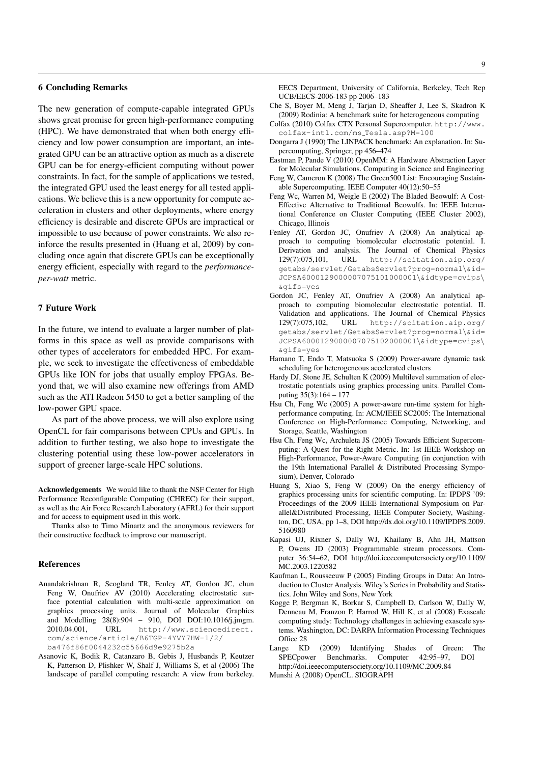# 6 Concluding Remarks

The new generation of compute-capable integrated GPUs shows great promise for green high-performance computing (HPC). We have demonstrated that when both energy efficiency and low power consumption are important, an integrated GPU can be an attractive option as much as a discrete GPU can be for energy-efficient computing without power constraints. In fact, for the sample of applications we tested, the integrated GPU used the least energy for all tested applications. We believe this is a new opportunity for compute acceleration in clusters and other deployments, where energy efficiency is desirable and discrete GPUs are impractical or impossible to use because of power constraints. We also reinforce the results presented in (Huang et al, 2009) by concluding once again that discrete GPUs can be exceptionally energy efficient, especially with regard to the *performanceper-watt* metric.

# 7 Future Work

In the future, we intend to evaluate a larger number of platforms in this space as well as provide comparisons with other types of accelerators for embedded HPC. For example, we seek to investigate the effectiveness of embeddable GPUs like ION for jobs that usually employ FPGAs. Beyond that, we will also examine new offerings from AMD such as the ATI Radeon 5450 to get a better sampling of the low-power GPU space.

As part of the above process, we will also explore using OpenCL for fair comparisons between CPUs and GPUs. In addition to further testing, we also hope to investigate the clustering potential using these low-power accelerators in support of greener large-scale HPC solutions.

Acknowledgements We would like to thank the NSF Center for High Performance Reconfigurable Computing (CHREC) for their support, as well as the Air Force Research Laboratory (AFRL) for their support and for access to equipment used in this work.

Thanks also to Timo Minartz and the anonymous reviewers for their constructive feedback to improve our manuscript.

### References

- Anandakrishnan R, Scogland TR, Fenley AT, Gordon JC, chun Feng W, Onufriev AV (2010) Accelerating electrostatic surface potential calculation with multi-scale approximation on graphics processing units. Journal of Molecular Graphics and Modelling 28(8):904 – 910, DOI DOI:10.1016/j.jmgm. 2010.04.001, URL http://www.sciencedirect. com/science/article/B6TGP-4YVY7HW-1/2/ ba476f86f0044232c55666d9e9275b2a
- Asanovic K, Bodik R, Catanzaro B, Gebis J, Husbands P, Keutzer K, Patterson D, Plishker W, Shalf J, Williams S, et al (2006) The landscape of parallel computing research: A view from berkeley.
- Che S, Boyer M, Meng J, Tarjan D, Sheaffer J, Lee S, Skadron K (2009) Rodinia: A benchmark suite for heterogeneous computing
- Colfax (2010) Colfax CTX Personal Supercomputer. http://www. colfax-intl.com/ms Tesla.asp?M=100
- Dongarra J (1990) The LINPACK benchmark: An explanation. In: Supercomputing, Springer, pp 456–474
- Eastman P, Pande V (2010) OpenMM: A Hardware Abstraction Layer for Molecular Simulations. Computing in Science and Engineering
- Feng W, Cameron K (2008) The Green500 List: Encouraging Sustainable Supercomputing. IEEE Computer 40(12):50–55
- Feng Wc, Warren M, Weigle E (2002) The Bladed Beowulf: A Cost-Effective Alternative to Traditional Beowulfs. In: IEEE International Conference on Cluster Computing (IEEE Cluster 2002), Chicago, Illinois
- Fenley AT, Gordon JC, Onufriev A (2008) An analytical approach to computing biomolecular electrostatic potential. I. Derivation and analysis. The Journal of Chemical Physics 129(7):075,101, URL http://scitation.aip.org/ getabs/servlet/GetabsServlet?prog=normal\&id= JCPSA6000129000007075101000001\&idtype=cvips\ &gifs=yes
- Gordon JC, Fenley AT, Onufriev A (2008) An analytical approach to computing biomolecular electrostatic potential. II. Validation and applications. The Journal of Chemical Physics 129(7):075,102, URL http://scitation.aip.org/ getabs/servlet/GetabsServlet?prog=normal\&id= JCPSA6000129000007075102000001\&idtype=cvips\ &gifs=yes
- Hamano T, Endo T, Matsuoka S (2009) Power-aware dynamic task scheduling for heterogeneous accelerated clusters
- Hardy DJ, Stone JE, Schulten K (2009) Multilevel summation of electrostatic potentials using graphics processing units. Parallel Computing 35(3):164 – 177
- Hsu Ch, Feng Wc (2005) A power-aware run-time system for highperformance computing. In: ACM/IEEE SC2005: The International Conference on High-Performance Computing, Networking, and Storage, Seattle, Washington
- Hsu Ch, Feng Wc, Archuleta JS (2005) Towards Efficient Supercomputing: A Quest for the Right Metric. In: 1st IEEE Workshop on High-Performance, Power-Aware Computing (in conjunction with the 19th International Parallel & Distributed Processing Symposium), Denver, Colorado
- Huang S, Xiao S, Feng W (2009) On the energy efficiency of graphics processing units for scientific computing. In: IPDPS '09: Proceedings of the 2009 IEEE International Symposium on Parallel&Distributed Processing, IEEE Computer Society, Washington, DC, USA, pp 1–8, DOI http://dx.doi.org/10.1109/IPDPS.2009. 5160980
- Kapasi UJ, Rixner S, Dally WJ, Khailany B, Ahn JH, Mattson P, Owens JD (2003) Programmable stream processors. Computer 36:54–62, DOI http://doi.ieeecomputersociety.org/10.1109/ MC.2003.1220582
- Kaufman L, Rousseeuw P (2005) Finding Groups in Data: An Introduction to Cluster Analysis. Wiley's Series in Probability and Statistics. John Wiley and Sons, New York
- Kogge P, Bergman K, Borkar S, Campbell D, Carlson W, Dally W, Denneau M, Franzon P, Harrod W, Hill K, et al (2008) Exascale computing study: Technology challenges in achieving exascale systems. Washington, DC: DARPA Information Processing Techniques Office 28
- Lange KD (2009) Identifying Shades of Green: The SPECpower Benchmarks. Computer 42:95–97, DOI http://doi.ieeecomputersociety.org/10.1109/MC.2009.84
- Munshi A (2008) OpenCL. SIGGRAPH